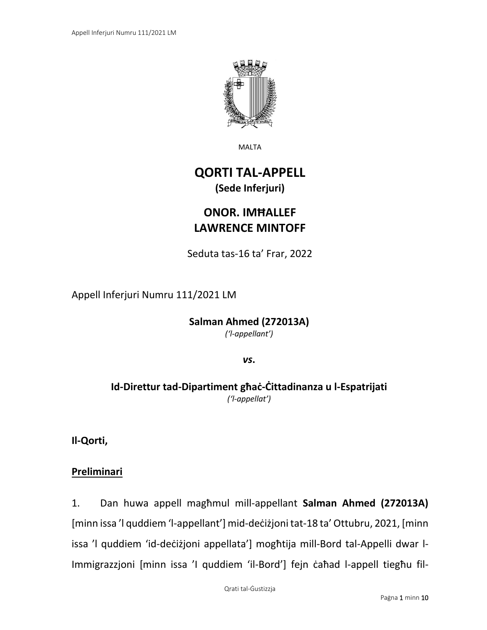

MALTA

# **QORTI TAL-APPELL (Sede Inferjuri)**

# **ONOR. IMĦALLEF LAWRENCE MINTOFF**

Seduta tas-16 ta' Frar, 2022

Appell Inferjuri Numru 111/2021 LM

**Salman Ahmed (272013A)** *('l-appellant')*

*vs***.**

# **Id-Direttur tad-Dipartiment għaċ-Ċittadinanza u l-Espatrijati** *('l-appellat')*

**Il-Qorti,**

### **Preliminari**

1. Dan huwa appell magħmul mill-appellant **Salman Ahmed (272013A)** [minn issa 'l quddiem 'l-appellant'] mid-deċiżjoni tat-18 ta' Ottubru, 2021, [minn issa 'l quddiem 'id-deċiżjoni appellata'] mogħtija mill-Bord tal-Appelli dwar l-Immigrazzjoni [minn issa 'I quddiem 'il-Bord'] fejn ċaħad l-appell tiegħu fil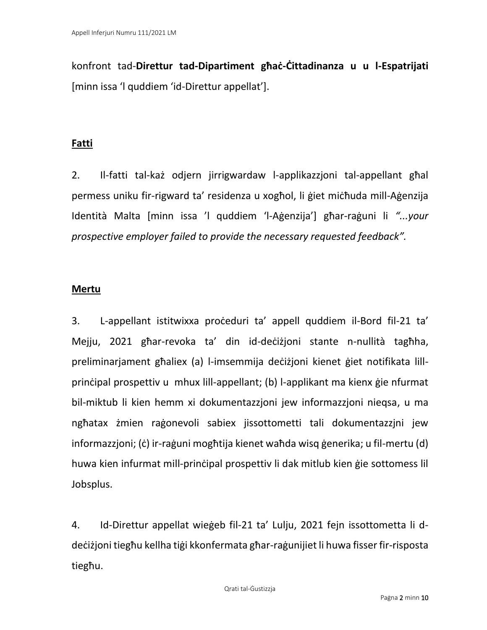konfront tad-**Direttur tad-Dipartiment għaċ-Ċittadinanza u u l-Espatrijati** [minn issa 'l quddiem 'id-Direttur appellat'].

#### **Fatti**

2. Il-fatti tal-każ odjern jirrigwardaw l-applikazzjoni tal-appellant għal permess uniku fir-rigward ta' residenza u xogħol, li ġiet miċħuda mill-Aġenzija Identità Malta [minn issa 'l quddiem 'l-Aġenzija'] għar-raġuni li *"...your prospective employer failed to provide the necessary requested feedback".* 

#### **Mertu**

3. L-appellant istitwixxa proċeduri ta' appell quddiem il-Bord fil-21 ta' Mejju, 2021 għar-revoka ta' din id-deċiżjoni stante n-nullità tagħha, preliminarjament għaliex (a) l-imsemmija deċiżjoni kienet ġiet notifikata lillprinċipal prospettiv u mhux lill-appellant; (b) l-applikant ma kienx ġie nfurmat bil-miktub li kien hemm xi dokumentazzjoni jew informazzjoni nieqsa, u ma ngħatax żmien raġonevoli sabiex jissottometti tali dokumentazzjni jew informazzjoni; (ċ) ir-raġuni mogħtija kienet waħda wisq ġenerika; u fil-mertu (d) huwa kien infurmat mill-prinċipal prospettiv li dak mitlub kien ġie sottomess lil Jobsplus.

4. Id-Direttur appellat wieġeb fil-21 ta' Lulju, 2021 fejn issottometta li ddeċiżjoni tiegħu kellha tiġi kkonfermata għar-raġunijiet li huwa fisser fir-risposta tiegħu.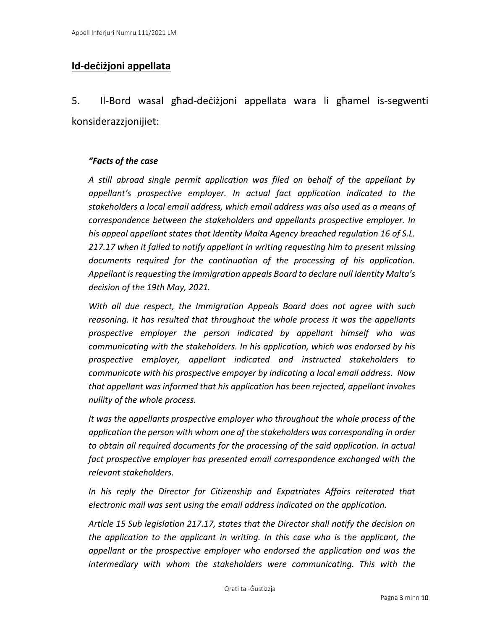# **Id-deċiżjoni appellata**

5. Il-Bord wasal għad-deċiżjoni appellata wara li għamel is-segwenti konsiderazzjonijiet:

#### *"Facts of the case*

*A still abroad single permit application was filed on behalf of the appellant by appellant's prospective employer. In actual fact application indicated to the stakeholders a local email address, which email address was also used as a means of correspondence between the stakeholders and appellants prospective employer. In his appeal appellant states that Identity Malta Agency breached regulation 16 of S.L. 217.17 when it failed to notify appellant in writing requesting him to present missing documents required for the continuation of the processing of his application. Appellant is requesting the Immigration appeals Board to declare null Identity Malta's decision of the 19th May, 2021.*

*With all due respect, the Immigration Appeals Board does not agree with such reasoning. It has resulted that throughout the whole process it was the appellants prospective employer the person indicated by appellant himself who was communicating with the stakeholders. In his application, which was endorsed by his prospective employer, appellant indicated and instructed stakeholders to communicate with his prospective empoyer by indicating a local email address. Now that appellant was informed that his application has been rejected, appellant invokes nullity of the whole process.*

*It was the appellants prospective employer who throughout the whole process of the application the person with whom one of the stakeholders was corresponding in order to obtain all required documents for the processing of the said application. In actual fact prospective employer has presented email correspondence exchanged with the relevant stakeholders.* 

*In his reply the Director for Citizenship and Expatriates Affairs reiterated that electronic mail was sent using the email address indicated on the application.*

*Article 15 Sub legislation 217.17, states that the Director shall notify the decision on the application to the applicant in writing. In this case who is the applicant, the appellant or the prospective employer who endorsed the application and was the intermediary with whom the stakeholders were communicating. This with the*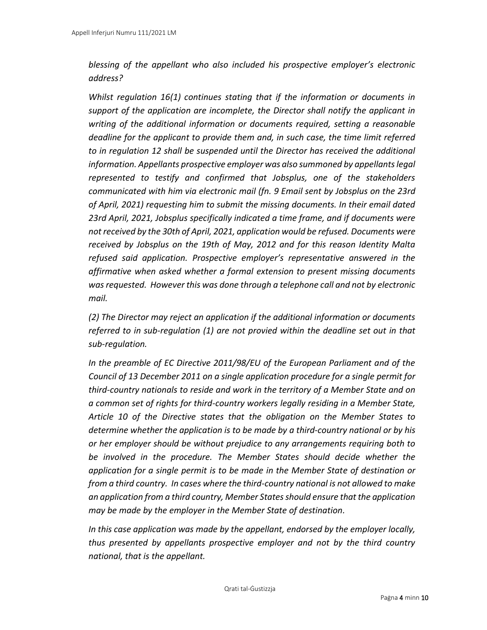*blessing of the appellant who also included his prospective employer's electronic address?*

*Whilst regulation 16(1) continues stating that if the information or documents in support of the application are incomplete, the Director shall notify the applicant in writing of the additional information or documents required, setting a reasonable deadline for the applicant to provide them and, in such case, the time limit referred to in regulation 12 shall be suspended until the Director has received the additional information. Appellants prospective employer was also summoned by appellants legal represented to testify and confirmed that Jobsplus, one of the stakeholders communicated with him via electronic mail (fn. 9 Email sent by Jobsplus on the 23rd of April, 2021) requesting him to submit the missing documents. In their email dated 23rd April, 2021, Jobsplus specifically indicated a time frame, and if documents were not received by the 30th of April, 2021, application would be refused. Documents were received by Jobsplus on the 19th of May, 2012 and for this reason Identity Malta refused said application. Prospective employer's representative answered in the affirmative when asked whether a formal extension to present missing documents was requested. However this was done through a telephone call and not by electronic mail.*

*(2) The Director may reject an application if the additional information or documents referred to in sub-regulation (1) are not provied within the deadline set out in that sub-regulation.*

*In the preamble of EC Directive 2011/98/EU of the European Parliament and of the Council of 13 December 2011 on a single application procedure for a single permit for third-country nationals to reside and work in the territory of a Member State and on a common set of rights for third-country workers legally residing in a Member State, Article 10 of the Directive states that the obligation on the Member States to determine whether the application is to be made by a third-country national or by his or her employer should be without prejudice to any arrangements requiring both to be involved in the procedure. The Member States should decide whether the application for a single permit is to be made in the Member State of destination or from a third country. In cases where the third-country national is not allowed to make an application from a third country, Member States should ensure that the application may be made by the employer in the Member State of destination.*

*In this case application was made by the appellant, endorsed by the employer locally, thus presented by appellants prospective employer and not by the third country national, that is the appellant.*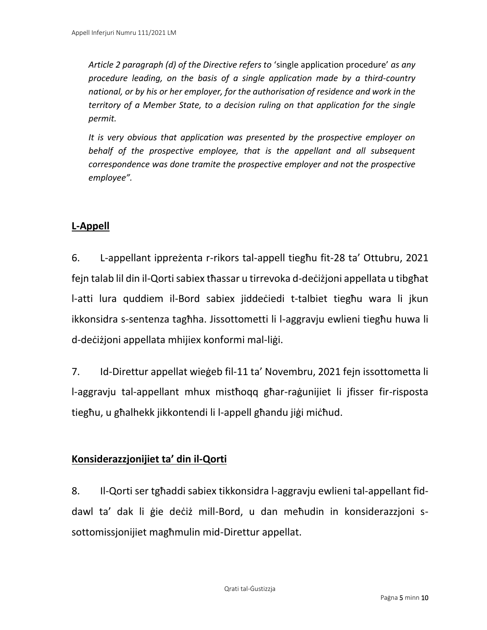*Article 2 paragraph (d) of the Directive refers to* 'single application procedure' *as any procedure leading, on the basis of a single application made by a third-country national, or by his or her employer, for the authorisation of residence and work in the territory of a Member State, to a decision ruling on that application for the single permit.*

*It is very obvious that application was presented by the prospective employer on behalf of the prospective employee, that is the appellant and all subsequent correspondence was done tramite the prospective employer and not the prospective employee".*

# **L-Appell**

6. L-appellant ippreżenta r-rikors tal-appell tiegħu fit-28 ta' Ottubru, 2021 fejn talab lil din il-Qorti sabiex tħassar u tirrevoka d-deċiżjoni appellata u tibgħat l-atti lura quddiem il-Bord sabiex jiddeċiedi t-talbiet tiegħu wara li jkun ikkonsidra s-sentenza tagħha. Jissottometti li l-aggravju ewlieni tiegħu huwa li d-deċiżjoni appellata mhijiex konformi mal-liġi.

7. Id-Direttur appellat wieġeb fil-11 ta' Novembru, 2021 fejn issottometta li l-aggravju tal-appellant mhux mistħoqq għar-raġunijiet li jfisser fir-risposta tiegħu, u għalhekk jikkontendi li l-appell għandu jiġi miċħud.

### **Konsiderazzjonijiet ta' din il-Qorti**

8. Il-Qorti ser tgħaddi sabiex tikkonsidra l-aggravju ewlieni tal-appellant fiddawl ta' dak li ġie deċiż mill-Bord, u dan meħudin in konsiderazzjoni ssottomissjonijiet magħmulin mid-Direttur appellat.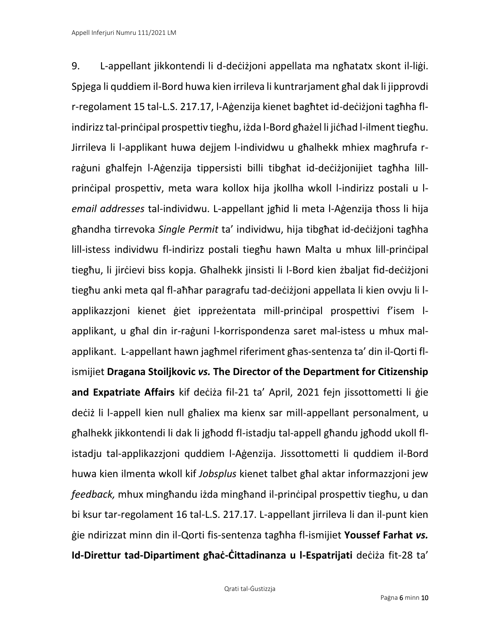9. L-appellant jikkontendi li d-deċiżjoni appellata ma ngħatatx skont il-liġi. Spjega li quddiem il-Bord huwa kien irrileva li kuntrarjament għal dak li jipprovdi r-regolament 15 tal-L.S. 217.17, l-Aġenzija kienet bagħtet id-deċiżjoni tagħha flindirizz tal-prinċipal prospettiv tiegħu, iżda l-Bord għażel li jiċħad l-ilment tiegħu. Jirrileva li l-applikant huwa dejjem l-individwu u għalhekk mhiex magħrufa rraġuni għalfejn l-Aġenzija tippersisti billi tibgħat id-deċiżjonijiet tagħha lillprinċipal prospettiv, meta wara kollox hija jkollha wkoll l-indirizz postali u l*email addresses* tal-individwu. L-appellant jgħid li meta l-Aġenzija tħoss li hija għandha tirrevoka *Single Permit* ta' individwu, hija tibgħat id-deċiżjoni tagħha lill-istess individwu fl-indirizz postali tiegħu hawn Malta u mhux lill-prinċipal tiegħu, li jirċievi biss kopja. Għalhekk jinsisti li l-Bord kien żbaljat fid-deċiżjoni tiegħu anki meta qal fl-aħħar paragrafu tad-deċiżjoni appellata li kien ovvju li lapplikazzjoni kienet ġiet ippreżentata mill-prinċipal prospettivi f'isem lapplikant, u għal din ir-raġuni l-korrispondenza saret mal-istess u mhux malapplikant. L-appellant hawn jagħmel riferiment għas-sentenza ta' din il-Qorti flismijiet **Dragana Stoiljkovic** *vs.* **The Director of the Department for Citizenship and Expatriate Affairs** kif deċiża fil-21 ta' April, 2021 fejn jissottometti li ġie deċiż li l-appell kien null għaliex ma kienx sar mill-appellant personalment, u għalhekk jikkontendi li dak li jgħodd fl-istadju tal-appell għandu jgħodd ukoll flistadju tal-applikazzjoni quddiem l-Aġenzija. Jissottometti li quddiem il-Bord huwa kien ilmenta wkoll kif *Jobsplus* kienet talbet għal aktar informazzjoni jew *feedback,* mhux mingħandu iżda mingħand il-prinċipal prospettiv tiegħu, u dan bi ksur tar-regolament 16 tal-L.S. 217.17. L-appellant jirrileva li dan il-punt kien ġie ndirizzat minn din il-Qorti fis-sentenza tagħha fl-ismijiet **Youssef Farhat** *vs.* **Id-Direttur tad-Dipartiment għaċ-Ċittadinanza u l-Espatrijati** deċiża fit-28 ta'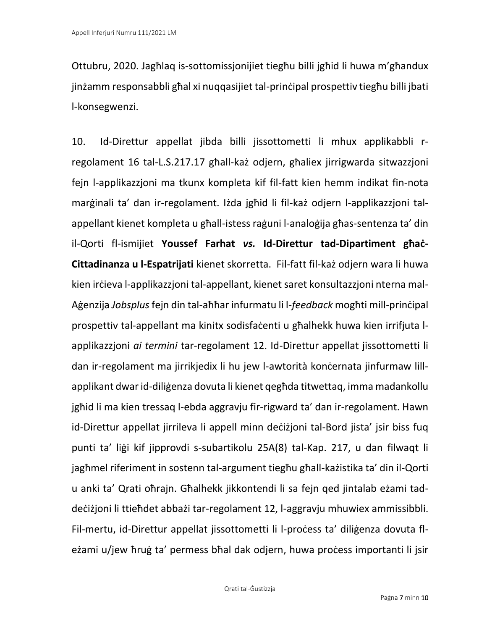Ottubru, 2020. Jagħlaq is-sottomissjonijiet tiegħu billi jgħid li huwa m'għandux jinżamm responsabbli għal xi nuqqasijiet tal-prinċipal prospettiv tiegħu billi jbati l-konsegwenzi.

10. Id-Direttur appellat jibda billi jissottometti li mhux applikabbli rregolament 16 tal-L.S.217.17 għall-każ odjern, għaliex jirrigwarda sitwazzjoni fejn l-applikazzjoni ma tkunx kompleta kif fil-fatt kien hemm indikat fin-nota marġinali ta' dan ir-regolament. Iżda jgħid li fil-każ odjern l-applikazzjoni talappellant kienet kompleta u għall-istess raġuni l-analoġija għas-sentenza ta' din il-Qorti fl-ismijiet **Youssef Farhat** *vs.* **Id-Direttur tad-Dipartiment għaċ-Cittadinanza u l-Espatrijati** kienet skorretta. Fil-fatt fil-każ odjern wara li huwa kien irċieva l-applikazzjoni tal-appellant, kienet saret konsultazzjoni nterna mal-Aġenzija *Jobsplus*fejn din tal-aħħar infurmatu li l-*feedback* mogħti mill-prinċipal prospettiv tal-appellant ma kinitx sodisfaċenti u għalhekk huwa kien irrifjuta lapplikazzjoni *ai termini* tar-regolament 12. Id-Direttur appellat jissottometti li dan ir-regolament ma jirrikjedix li hu jew l-awtorità konċernata jinfurmaw lillapplikant dwar id-diliġenza dovuta li kienet qegħda titwettaq, imma madankollu jgħid li ma kien tressaq l-ebda aggravju fir-rigward ta' dan ir-regolament. Hawn id-Direttur appellat jirrileva li appell minn deċiżjoni tal-Bord jista' jsir biss fuq punti ta' liġi kif jipprovdi s-subartikolu 25A(8) tal-Kap. 217, u dan filwaqt li jagħmel riferiment in sostenn tal-argument tiegħu għall-każistika ta' din il-Qorti u anki ta' Qrati oħrajn. Għalhekk jikkontendi li sa fejn qed jintalab eżami taddeċiżjoni li ttieħdet abbażi tar-regolament 12, l-aggravju mhuwiex ammissibbli. Fil-mertu, id-Direttur appellat jissottometti li l-process ta' diligenza dovuta fleżami u/jew ħruġ ta' permess bħal dak odjern, huwa proċess importanti li jsir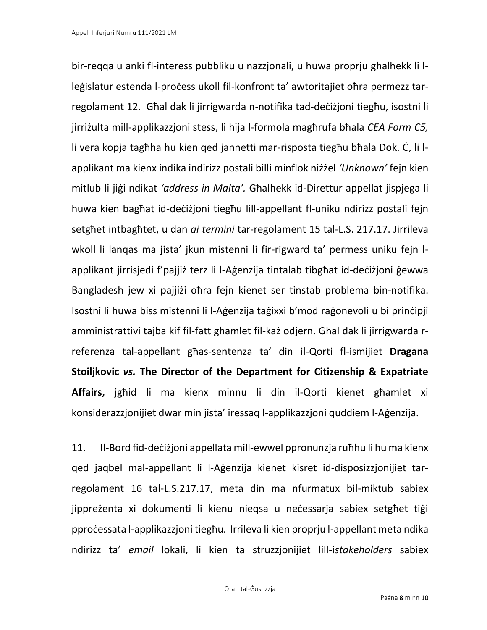bir-reqqa u anki fl-interess pubbliku u nazzjonali, u huwa proprju għalhekk li lleģislatur estenda l-process ukoll fil-konfront ta' awtoritajiet oħra permezz tarregolament 12. Għal dak li jirrigwarda n-notifika tad-deċiżjoni tiegħu, isostni li jirriżulta mill-applikazzjoni stess, li hija l-formola magħrufa bħala *CEA Form C5,* li vera kopja tagħha hu kien qed jannetti mar-risposta tiegħu bħala Dok. Ċ, li lapplikant ma kienx indika indirizz postali billi minflok niżżel *'Unknown'* fejn kien mitlub li jiġi ndikat *'address in Malta'.* Għalhekk id-Direttur appellat jispjega li huwa kien bagħat id-deċiżjoni tiegħu lill-appellant fl-uniku ndirizz postali fejn setgħet intbagħtet, u dan *ai termini* tar-regolament 15 tal-L.S. 217.17. Jirrileva wkoll li lanqas ma jista' jkun mistenni li fir-rigward ta' permess uniku fejn lapplikant jirrisjedi f'pajjiż terz li l-Aġenzija tintalab tibgħat id-deċiżjoni ġewwa Bangladesh jew xi pajjiżi oħra fejn kienet ser tinstab problema bin-notifika. Isostni li huwa biss mistenni li l-Aġenzija taġixxi b'mod raġonevoli u bi prinċipji amministrattivi tajba kif fil-fatt għamlet fil-każ odjern. Għal dak li jirrigwarda rreferenza tal-appellant għas-sentenza ta' din il-Qorti fl-ismijiet **Dragana Stoiljkovic** *vs.* **The Director of the Department for Citizenship & Expatriate Affairs,** jgħid li ma kienx minnu li din il-Qorti kienet għamlet xi konsiderazzjonijiet dwar min jista' iressaq l-applikazzjoni quddiem l-Aġenzija.

11. Il-Bord fid-deċiżjoni appellata mill-ewwel ppronunzja ruħhu li hu ma kienx qed jaqbel mal-appellant li l-Aġenzija kienet kisret id-disposizzjonijiet tarregolament 16 tal-L.S.217.17, meta din ma nfurmatux bil-miktub sabiex jippreżenta xi dokumenti li kienu nieqsa u neċessarja sabiex setgħet tiġi pproċessata l-applikazzjoni tiegħu. Irrileva li kien proprju l-appellant meta ndika ndirizz ta' *email* lokali, li kien ta struzzjonijiet lill-i*stakeholders* sabiex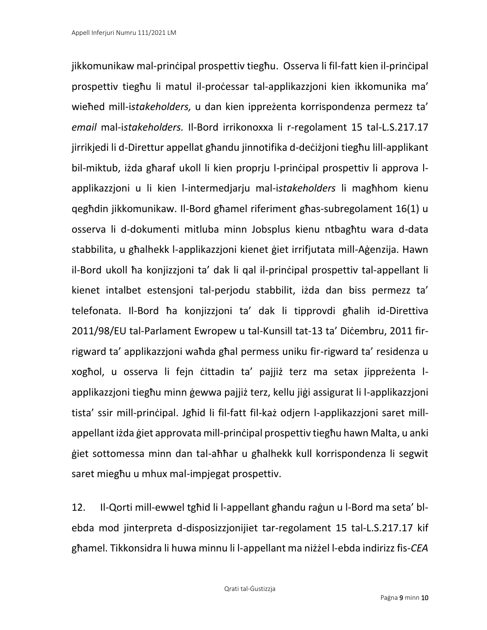jikkomunikaw mal-prinċipal prospettiv tiegħu. Osserva li fil-fatt kien il-prinċipal prospettiv tiegħu li matul il-proċessar tal-applikazzjoni kien ikkomunika ma' wieħed mill-i*stakeholders,* u dan kien ippreżenta korrispondenza permezz ta' *email* mal-i*stakeholders.* Il-Bord irrikonoxxa li r-regolament 15 tal-L.S.217.17 jirrikjedi li d-Direttur appellat għandu jinnotifika d-deċiżjoni tiegħu lill-applikant bil-miktub, iżda għaraf ukoll li kien proprju l-prinċipal prospettiv li approva lapplikazzjoni u li kien l-intermedjarju mal-i*stakeholders* li magħhom kienu qegħdin jikkomunikaw. Il-Bord għamel riferiment għas-subregolament 16(1) u osserva li d-dokumenti mitluba minn Jobsplus kienu ntbagħtu wara d-data stabbilita, u għalhekk l-applikazzjoni kienet ġiet irrifjutata mill-Aġenzija. Hawn il-Bord ukoll ħa konjizzjoni ta' dak li qal il-prinċipal prospettiv tal-appellant li kienet intalbet estensjoni tal-perjodu stabbilit, iżda dan biss permezz ta' telefonata. Il-Bord ħa konjizzjoni ta' dak li tipprovdi għalih id-Direttiva 2011/98/EU tal-Parlament Ewropew u tal-Kunsill tat-13 ta' Diċembru, 2011 firrigward ta' applikazzjoni waħda għal permess uniku fir-rigward ta' residenza u xogħol, u osserva li fejn ċittadin ta' pajjiż terz ma setax jippreżenta lapplikazzjoni tiegħu minn ġewwa pajjiż terz, kellu jiġi assigurat li l-applikazzjoni tista' ssir mill-prinċipal. Jgħid li fil-fatt fil-każ odjern l-applikazzjoni saret millappellant iżda ġiet approvata mill-prinċipal prospettiv tiegħu hawn Malta, u anki ġiet sottomessa minn dan tal-aħħar u għalhekk kull korrispondenza li segwit saret miegħu u mhux mal-impjegat prospettiv.

12. Il-Qorti mill-ewwel tgħid li l-appellant għandu raġun u l-Bord ma seta' blebda mod jinterpreta d-disposizzjonijiet tar-regolament 15 tal-L.S.217.17 kif għamel. Tikkonsidra li huwa minnu li l-appellant ma niżżel l-ebda indirizz fis-*CEA*